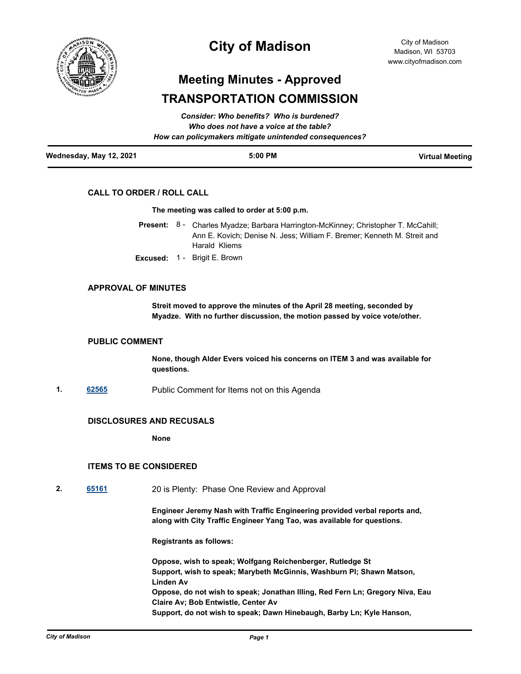

## **City of Madison**

# **Meeting Minutes - Approved TRANSPORTATION COMMISSION**

|                         | Consider: Who benefits? Who is burdened?<br>Who does not have a voice at the table? |                        |
|-------------------------|-------------------------------------------------------------------------------------|------------------------|
|                         | How can policymakers mitigate unintended consequences?                              |                        |
| Wednesday, May 12, 2021 | $5:00$ PM                                                                           | <b>Virtual Meeting</b> |

## **CALL TO ORDER / ROLL CALL**

#### **The meeting was called to order at 5:00 p.m.**

- Present: 8 Charles Myadze; Barbara Harrington-McKinney; Christopher T. McCahill; Ann E. Kovich; Denise N. Jess; William F. Bremer; Kenneth M. Streit and Harald Kliems
- **Excused:** 1 Brigit E. Brown

## **APPROVAL OF MINUTES**

**Streit moved to approve the minutes of the April 28 meeting, seconded by Myadze. With no further discussion, the motion passed by voice vote/other.**

## **PUBLIC COMMENT**

**None, though Alder Evers voiced his concerns on ITEM 3 and was available for questions.**

**1. [62565](http://madison.legistar.com/gateway.aspx?m=l&id=/matter.aspx?key=73162)** Public Comment for Items not on this Agenda

## **DISCLOSURES AND RECUSALS**

**None**

## **ITEMS TO BE CONSIDERED**

**2. [65161](http://madison.legistar.com/gateway.aspx?m=l&id=/matter.aspx?key=76416)** 20 is Plenty: Phase One Review and Approval

**Engineer Jeremy Nash with Traffic Engineering provided verbal reports and, along with City Traffic Engineer Yang Tao, was available for questions.**

**Registrants as follows:** 

**Oppose, wish to speak; Wolfgang Reichenberger, Rutledge St Support, wish to speak; Marybeth McGinnis, Washburn Pl; Shawn Matson, Linden Av Oppose, do not wish to speak; Jonathan Illing, Red Fern Ln; Gregory Niva, Eau Claire Av; Bob Entwistle, Center Av Support, do not wish to speak; Dawn Hinebaugh, Barby Ln; Kyle Hanson,**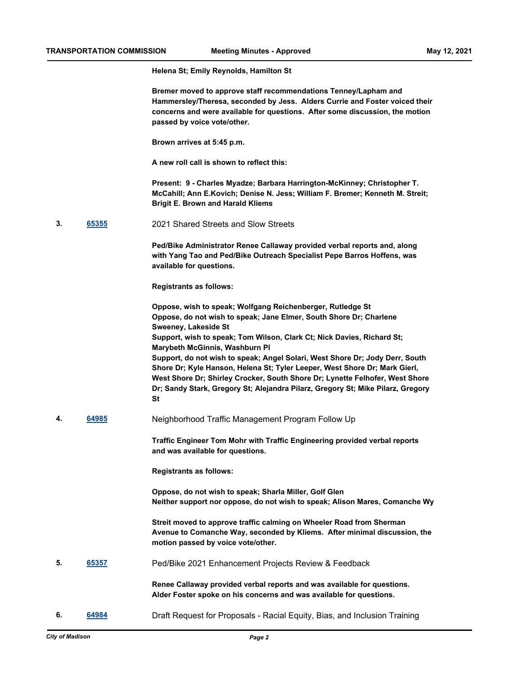**Helena St; Emily Reynolds, Hamilton St**

**Bremer moved to approve staff recommendations Tenney/Lapham and Hammersley/Theresa, seconded by Jess. Alders Currie and Foster voiced their concerns and were available for questions. After some discussion, the motion passed by voice vote/other.**

**Brown arrives at 5:45 p.m.**

**A new roll call is shown to reflect this:**

**Present: 9 - Charles Myadze; Barbara Harrington-McKinney; Christopher T. McCahill; Ann E.Kovich; Denise N. Jess; William F. Bremer; Kenneth M. Streit; Brigit E. Brown and Harald Kliems**

**3. [65355](http://madison.legistar.com/gateway.aspx?m=l&id=/matter.aspx?key=76577)** 2021 Shared Streets and Slow Streets

**Ped/Bike Administrator Renee Callaway provided verbal reports and, along with Yang Tao and Ped/Bike Outreach Specialist Pepe Barros Hoffens, was available for questions.**

**Registrants as follows:**

**Oppose, wish to speak; Wolfgang Reichenberger, Rutledge St Oppose, do not wish to speak; Jane Elmer, South Shore Dr; Charlene Sweeney, Lakeside St Support, wish to speak; Tom Wilson, Clark Ct; Nick Davies, Richard St; Marybeth McGinnis, Washburn Pl Support, do not wish to speak; Angel Solari, West Shore Dr; Jody Derr, South Shore Dr; Kyle Hanson, Helena St; Tyler Leeper, West Shore Dr; Mark Gierl, West Shore Dr; Shirley Crocker, South Shore Dr; Lynette Felhofer, West Shore Dr; Sandy Stark, Gregory St; Alejandra Pilarz, Gregory St; Mike Pilarz, Gregory St**

**4. [64985](http://madison.legistar.com/gateway.aspx?m=l&id=/matter.aspx?key=75242)** Neighborhood Traffic Management Program Follow Up

**Traffic Engineer Tom Mohr with Traffic Engineering provided verbal reports and was available for questions.**

**Registrants as follows:**

**Oppose, do not wish to speak; Sharla Miller, Golf Glen Neither support nor oppose, do not wish to speak; Alison Mares, Comanche Wy**

**Streit moved to approve traffic calming on Wheeler Road from Sherman Avenue to Comanche Way, seconded by Kliems. After minimal discussion, the motion passed by voice vote/other.**

**5. [65357](http://madison.legistar.com/gateway.aspx?m=l&id=/matter.aspx?key=76579)** Ped/Bike 2021 Enhancement Projects Review & Feedback

**Renee Callaway provided verbal reports and was available for questions. Alder Foster spoke on his concerns and was available for questions.**

**6. [64984](http://madison.legistar.com/gateway.aspx?m=l&id=/matter.aspx?key=75241)** Draft Request for Proposals - Racial Equity, Bias, and Inclusion Training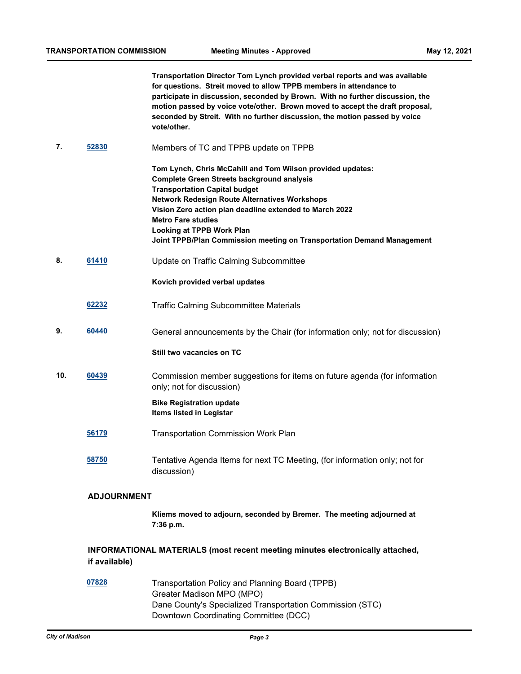**Transportation Director Tom Lynch provided verbal reports and was available for questions. Streit moved to allow TPPB members in attendance to participate in discussion, seconded by Brown. With no further discussion, the motion passed by voice vote/other. Brown moved to accept the draft proposal, seconded by Streit. With no further discussion, the motion passed by voice vote/other.**

- **7. [52830](http://madison.legistar.com/gateway.aspx?m=l&id=/matter.aspx?key=59483)** Members of TC and TPPB update on TPPB
	- **Tom Lynch, Chris McCahill and Tom Wilson provided updates: Complete Green Streets background analysis Transportation Capital budget Network Redesign Route Alternatives Workshops Vision Zero action plan deadline extended to March 2022 Metro Fare studies Looking at TPPB Work Plan Joint TPPB/Plan Commission meeting on Transportation Demand Management**
- **8. [61410](http://madison.legistar.com/gateway.aspx?m=l&id=/matter.aspx?key=72139)** Update on Traffic Calming Subcommittee

**Kovich provided verbal updates**

- **[62232](http://madison.legistar.com/gateway.aspx?m=l&id=/matter.aspx?key=72868)** Traffic Calming Subcommittee Materials
- **9. [60440](http://madison.legistar.com/gateway.aspx?m=l&id=/matter.aspx?key=71299)** General announcements by the Chair (for information only; not for discussion)

#### **Still two vacancies on TC**

**10. [60439](http://madison.legistar.com/gateway.aspx?m=l&id=/matter.aspx?key=71298)** Commission member suggestions for items on future agenda (for information only; not for discussion)

## **Bike Registration update Items listed in Legistar**

- **[56179](http://madison.legistar.com/gateway.aspx?m=l&id=/matter.aspx?key=67614)** Transportation Commission Work Plan
- **[58750](http://madison.legistar.com/gateway.aspx?m=l&id=/matter.aspx?key=69866)** Tentative Agenda Items for next TC Meeting, (for information only; not for discussion)

## **ADJOURNMENT**

**Kliems moved to adjourn, seconded by Bremer. The meeting adjourned at 7:36 p.m.**

## **INFORMATIONAL MATERIALS (most recent meeting minutes electronically attached, if available)**

**[07828](http://madison.legistar.com/gateway.aspx?m=l&id=/matter.aspx?key=8864)** Transportation Policy and Planning Board (TPPB) Greater Madison MPO (MPO) Dane County's Specialized Transportation Commission (STC) Downtown Coordinating Committee (DCC)